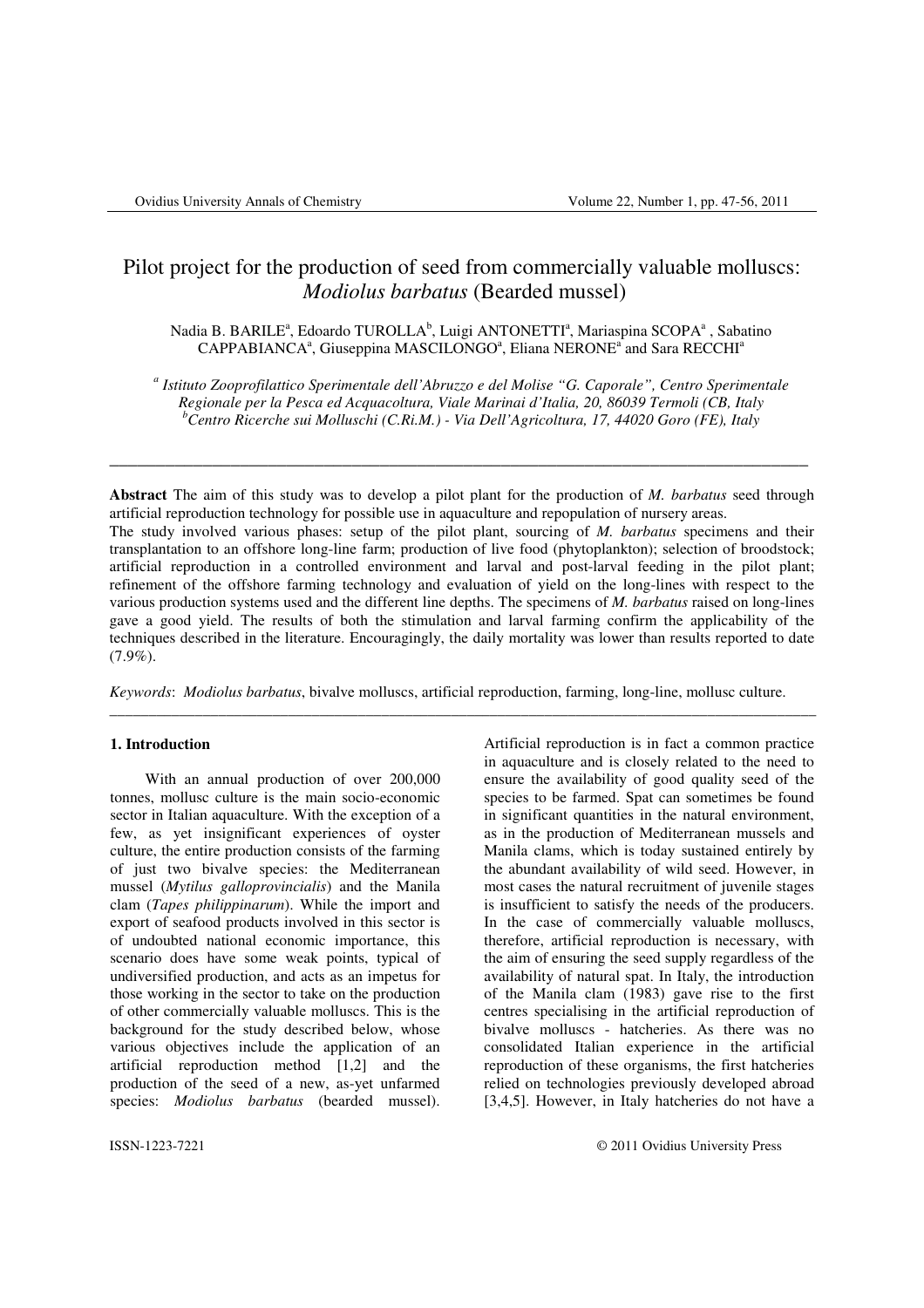# Pilot project for the production of seed from commercially valuable molluscs: *Modiolus barbatus* (Bearded mussel)

Nadia B. BARILE<sup>a</sup>, Edoardo TUROLLA<sup>b</sup>, Luigi ANTONETTI<sup>a</sup>, Mariaspina SCOPA<sup>a</sup>, Sabatino CAPPABIANCA<sup>a</sup>, Giuseppina MASCILONGO<sup>a</sup>, Eliana NERONE<sup>a</sup> and Sara RECCHI<sup>a</sup>

*a Istituto Zooprofilattico Sperimentale dell'Abruzzo e del Molise "G. Caporale", Centro Sperimentale Regionale per la Pesca ed Acquacoltura, Viale Marinai d'Italia, 20, 86039 Termoli (CB, Italy <sup>b</sup>Centro Ricerche sui Molluschi (C.Ri.M.) - Via Dell'Agricoltura, 17, 44020 Goro (FE), Italy* 

\_\_\_\_\_\_\_\_\_\_\_\_\_\_\_\_\_\_\_\_\_\_\_\_\_\_\_\_\_\_\_\_\_\_\_\_\_\_\_\_\_\_\_\_\_\_\_\_\_\_\_\_\_\_\_\_\_\_\_\_\_\_\_\_\_\_\_\_\_\_\_\_\_\_\_

**Abstract** The aim of this study was to develop a pilot plant for the production of *M. barbatus* seed through artificial reproduction technology for possible use in aquaculture and repopulation of nursery areas. The study involved various phases: setup of the pilot plant, sourcing of *M. barbatus* specimens and their transplantation to an offshore long-line farm; production of live food (phytoplankton); selection of broodstock; artificial reproduction in a controlled environment and larval and post-larval feeding in the pilot plant; refinement of the offshore farming technology and evaluation of yield on the long-lines with respect to the various production systems used and the different line depths. The specimens of *M. barbatus* raised on long-lines gave a good yield. The results of both the stimulation and larval farming confirm the applicability of the techniques described in the literature. Encouragingly, the daily mortality was lower than results reported to date (7.9%).

*Keywords*: *Modiolus barbatus*, bivalve molluscs, artificial reproduction, farming, long-line, mollusc culture.

\_\_\_\_\_\_\_\_\_\_\_\_\_\_\_\_\_\_\_\_\_\_\_\_\_\_\_\_\_\_\_\_\_\_\_\_\_\_\_\_\_\_\_\_\_\_\_\_\_\_\_\_\_\_\_\_\_\_\_\_\_\_\_\_\_\_\_\_\_\_\_\_\_\_\_\_\_\_\_\_\_\_\_\_\_\_\_\_\_\_\_

# **1. Introduction**

With an annual production of over 200,000 tonnes, mollusc culture is the main socio-economic sector in Italian aquaculture. With the exception of a few, as yet insignificant experiences of oyster culture, the entire production consists of the farming of just two bivalve species: the Mediterranean mussel (*Mytilus galloprovincialis*) and the Manila clam (*Tapes philippinarum*). While the import and export of seafood products involved in this sector is of undoubted national economic importance, this scenario does have some weak points, typical of undiversified production, and acts as an impetus for those working in the sector to take on the production of other commercially valuable molluscs. This is the background for the study described below, whose various objectives include the application of an artificial reproduction method [1,2] and the production of the seed of a new, as-yet unfarmed species: *Modiolus barbatus* (bearded mussel).

Artificial reproduction is in fact a common practice in aquaculture and is closely related to the need to ensure the availability of good quality seed of the species to be farmed. Spat can sometimes be found in significant quantities in the natural environment, as in the production of Mediterranean mussels and Manila clams, which is today sustained entirely by the abundant availability of wild seed. However, in most cases the natural recruitment of juvenile stages is insufficient to satisfy the needs of the producers. In the case of commercially valuable molluscs, therefore, artificial reproduction is necessary, with the aim of ensuring the seed supply regardless of the availability of natural spat. In Italy, the introduction of the Manila clam (1983) gave rise to the first centres specialising in the artificial reproduction of bivalve molluscs - hatcheries. As there was no consolidated Italian experience in the artificial reproduction of these organisms, the first hatcheries relied on technologies previously developed abroad [3,4,5]. However, in Italy hatcheries do not have a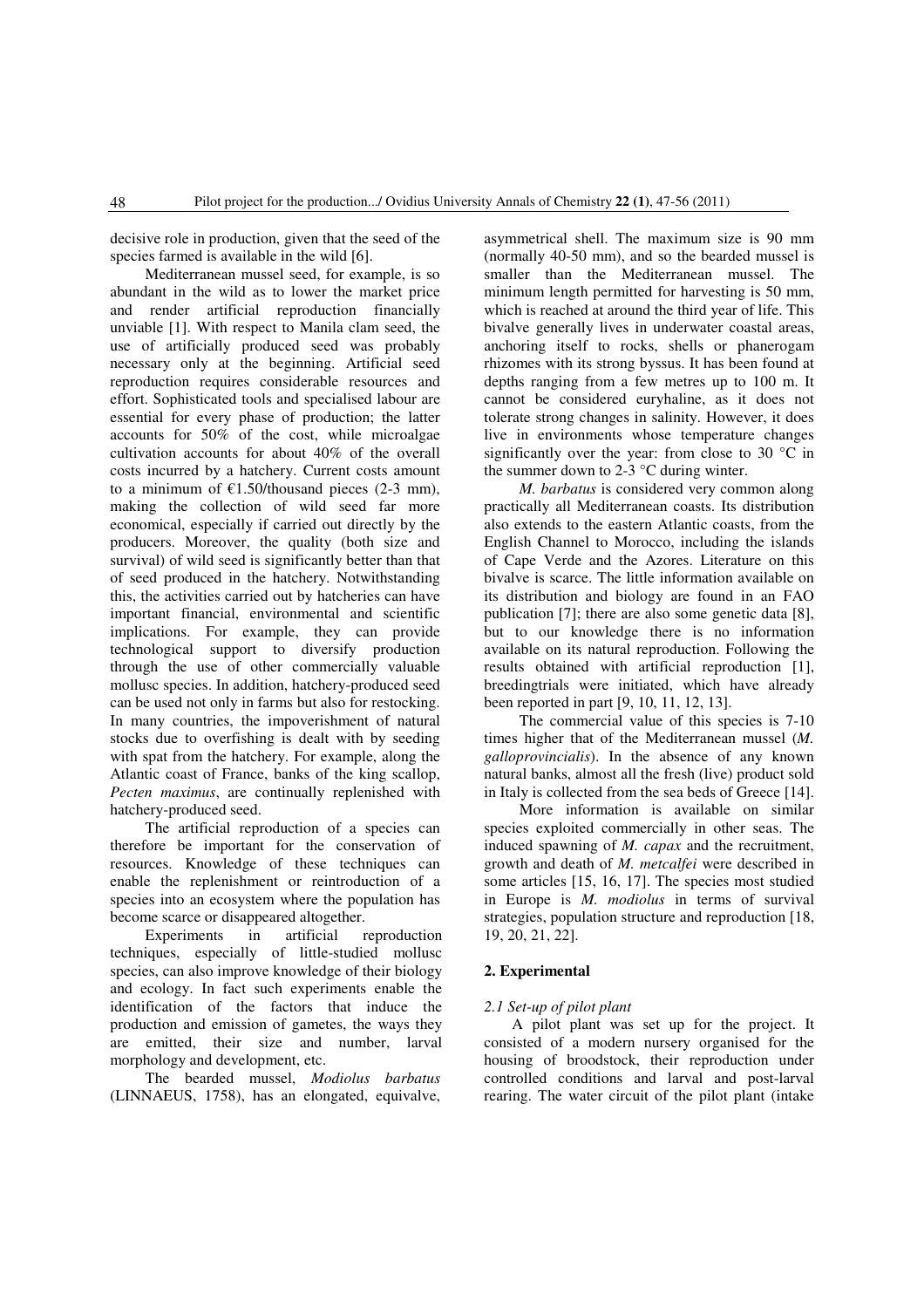decisive role in production, given that the seed of the species farmed is available in the wild [6].

Mediterranean mussel seed, for example, is so abundant in the wild as to lower the market price and render artificial reproduction financially unviable [1]. With respect to Manila clam seed, the use of artificially produced seed was probably necessary only at the beginning. Artificial seed reproduction requires considerable resources and effort. Sophisticated tools and specialised labour are essential for every phase of production; the latter accounts for 50% of the cost, while microalgae cultivation accounts for about 40% of the overall costs incurred by a hatchery. Current costs amount to a minimum of  $\epsilon$ 1.50/thousand pieces (2-3 mm). making the collection of wild seed far more economical, especially if carried out directly by the producers. Moreover, the quality (both size and survival) of wild seed is significantly better than that of seed produced in the hatchery. Notwithstanding this, the activities carried out by hatcheries can have important financial, environmental and scientific implications. For example, they can provide technological support to diversify production through the use of other commercially valuable mollusc species. In addition, hatchery-produced seed can be used not only in farms but also for restocking. In many countries, the impoverishment of natural stocks due to overfishing is dealt with by seeding with spat from the hatchery. For example, along the Atlantic coast of France, banks of the king scallop, *Pecten maximus*, are continually replenished with hatchery-produced seed.

The artificial reproduction of a species can therefore be important for the conservation of resources. Knowledge of these techniques can enable the replenishment or reintroduction of a species into an ecosystem where the population has become scarce or disappeared altogether.

Experiments in artificial reproduction techniques, especially of little-studied mollusc species, can also improve knowledge of their biology and ecology. In fact such experiments enable the identification of the factors that induce the production and emission of gametes, the ways they are emitted, their size and number, larval morphology and development, etc.

The bearded mussel, *Modiolus barbatus* (LINNAEUS, 1758), has an elongated, equivalve, asymmetrical shell. The maximum size is 90 mm (normally 40-50 mm), and so the bearded mussel is smaller than the Mediterranean mussel. The minimum length permitted for harvesting is 50 mm, which is reached at around the third year of life. This bivalve generally lives in underwater coastal areas, anchoring itself to rocks, shells or phanerogam rhizomes with its strong byssus. It has been found at depths ranging from a few metres up to 100 m. It cannot be considered euryhaline, as it does not tolerate strong changes in salinity. However, it does live in environments whose temperature changes significantly over the year: from close to 30 °C in the summer down to 2-3 °C during winter.

*M. barbatus* is considered very common along practically all Mediterranean coasts. Its distribution also extends to the eastern Atlantic coasts, from the English Channel to Morocco, including the islands of Cape Verde and the Azores. Literature on this bivalve is scarce. The little information available on its distribution and biology are found in an FAO publication [7]; there are also some genetic data [8], but to our knowledge there is no information available on its natural reproduction. Following the results obtained with artificial reproduction [1], breedingtrials were initiated, which have already been reported in part [9, 10, 11, 12, 13].

The commercial value of this species is 7-10 times higher that of the Mediterranean mussel (*M. galloprovincialis*). In the absence of any known natural banks, almost all the fresh (live) product sold in Italy is collected from the sea beds of Greece [14].

More information is available on similar species exploited commercially in other seas. The induced spawning of *M. capax* and the recruitment, growth and death of *M. metcalfei* were described in some articles [15, 16, 17]. The species most studied in Europe is *M. modiolus* in terms of survival strategies, population structure and reproduction [18, 19, 20, 21, 22].

#### **2. Experimental**

#### *2.1 Set-up of pilot plant*

A pilot plant was set up for the project. It consisted of a modern nursery organised for the housing of broodstock, their reproduction under controlled conditions and larval and post-larval rearing. The water circuit of the pilot plant (intake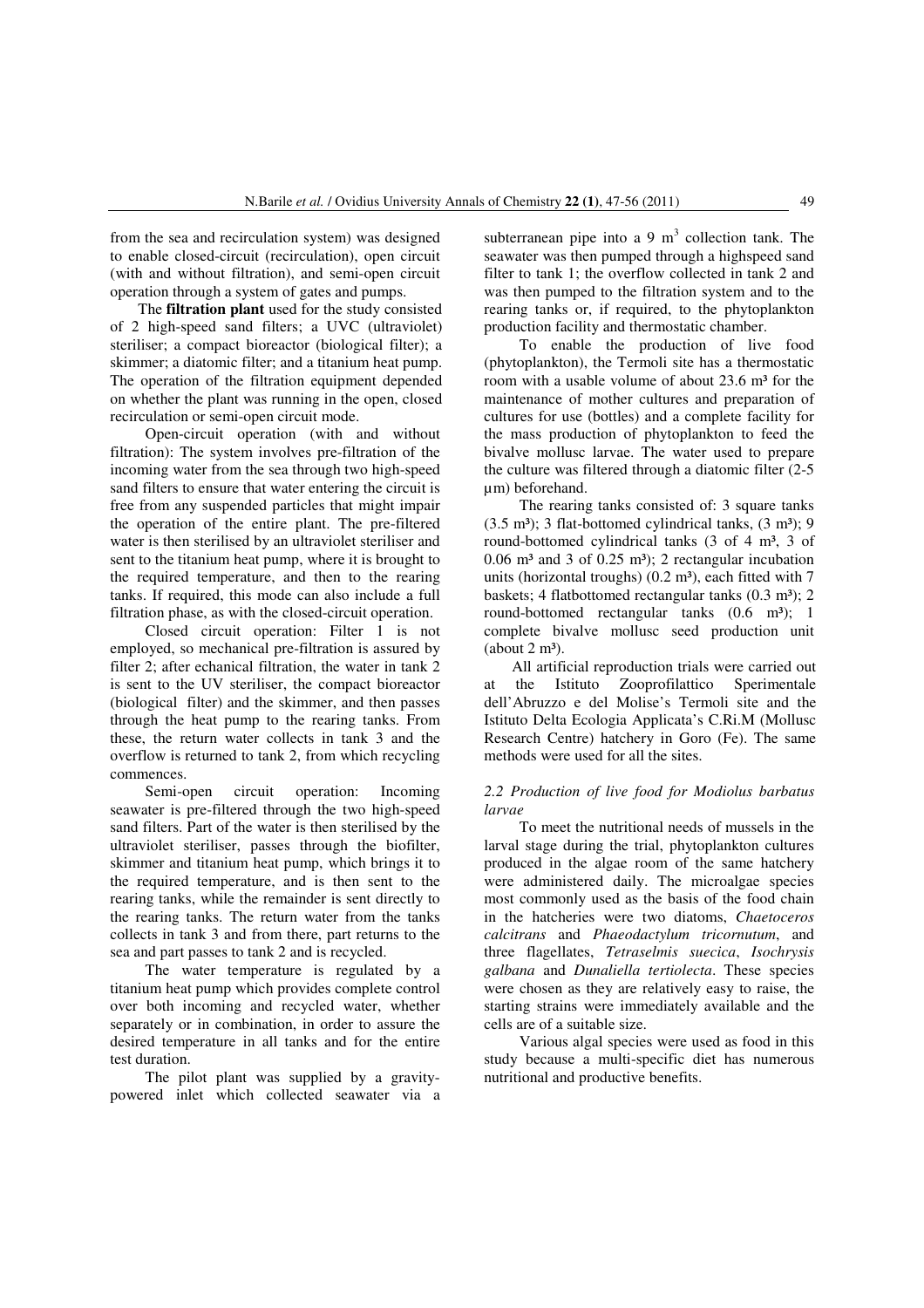from the sea and recirculation system) was designed to enable closed-circuit (recirculation), open circuit (with and without filtration), and semi-open circuit operation through a system of gates and pumps.

The **filtration plant** used for the study consisted of 2 high-speed sand filters; a UVC (ultraviolet) steriliser; a compact bioreactor (biological filter); a skimmer; a diatomic filter; and a titanium heat pump. The operation of the filtration equipment depended on whether the plant was running in the open, closed recirculation or semi-open circuit mode.

Open-circuit operation (with and without filtration): The system involves pre-filtration of the incoming water from the sea through two high-speed sand filters to ensure that water entering the circuit is free from any suspended particles that might impair the operation of the entire plant. The pre-filtered water is then sterilised by an ultraviolet steriliser and sent to the titanium heat pump, where it is brought to the required temperature, and then to the rearing tanks. If required, this mode can also include a full filtration phase, as with the closed-circuit operation.

Closed circuit operation: Filter 1 is not employed, so mechanical pre-filtration is assured by filter 2; after echanical filtration, the water in tank 2 is sent to the UV steriliser, the compact bioreactor (biological filter) and the skimmer, and then passes through the heat pump to the rearing tanks. From these, the return water collects in tank 3 and the overflow is returned to tank 2, from which recycling commences.

Semi-open circuit operation: Incoming seawater is pre-filtered through the two high-speed sand filters. Part of the water is then sterilised by the ultraviolet steriliser, passes through the biofilter, skimmer and titanium heat pump, which brings it to the required temperature, and is then sent to the rearing tanks, while the remainder is sent directly to the rearing tanks. The return water from the tanks collects in tank 3 and from there, part returns to the sea and part passes to tank 2 and is recycled.

The water temperature is regulated by a titanium heat pump which provides complete control over both incoming and recycled water, whether separately or in combination, in order to assure the desired temperature in all tanks and for the entire test duration.

The pilot plant was supplied by a gravitypowered inlet which collected seawater via a

subterranean pipe into a 9  $m<sup>3</sup>$  collection tank. The seawater was then pumped through a highspeed sand filter to tank 1; the overflow collected in tank 2 and was then pumped to the filtration system and to the rearing tanks or, if required, to the phytoplankton production facility and thermostatic chamber.

To enable the production of live food (phytoplankton), the Termoli site has a thermostatic room with a usable volume of about  $23.6$  m<sup>3</sup> for the maintenance of mother cultures and preparation of cultures for use (bottles) and a complete facility for the mass production of phytoplankton to feed the bivalve mollusc larvae. The water used to prepare the culture was filtered through a diatomic filter (2-5 µm) beforehand.

The rearing tanks consisted of: 3 square tanks  $(3.5 \text{ m}^3)$ ; 3 flat-bottomed cylindrical tanks,  $(3 \text{ m}^3)$ ; 9 round-bottomed cylindrical tanks (3 of 4 m<sup>3</sup>, 3 of  $0.06$  m<sup>3</sup> and 3 of  $0.25$  m<sup>3</sup>); 2 rectangular incubation units (horizontal troughs)  $(0.2 \text{ m}^3)$ , each fitted with 7 baskets; 4 flatbottomed rectangular tanks  $(0.3 \text{ m}^3)$ ; 2 round-bottomed rectangular tanks (0.6 m<sup>3</sup>); 1 complete bivalve mollusc seed production unit  $(about 2 m<sup>3</sup>).$ 

All artificial reproduction trials were carried out at the Istituto Zooprofilattico Sperimentale dell'Abruzzo e del Molise's Termoli site and the Istituto Delta Ecologia Applicata's C.Ri.M (Mollusc Research Centre) hatchery in Goro (Fe). The same methods were used for all the sites.

# *2.2 Production of live food for Modiolus barbatus larvae*

To meet the nutritional needs of mussels in the larval stage during the trial, phytoplankton cultures produced in the algae room of the same hatchery were administered daily. The microalgae species most commonly used as the basis of the food chain in the hatcheries were two diatoms, *Chaetoceros calcitrans* and *Phaeodactylum tricornutum*, and three flagellates, *Tetraselmis suecica*, *Isochrysis galbana* and *Dunaliella tertiolecta*. These species were chosen as they are relatively easy to raise, the starting strains were immediately available and the cells are of a suitable size.

Various algal species were used as food in this study because a multi-specific diet has numerous nutritional and productive benefits.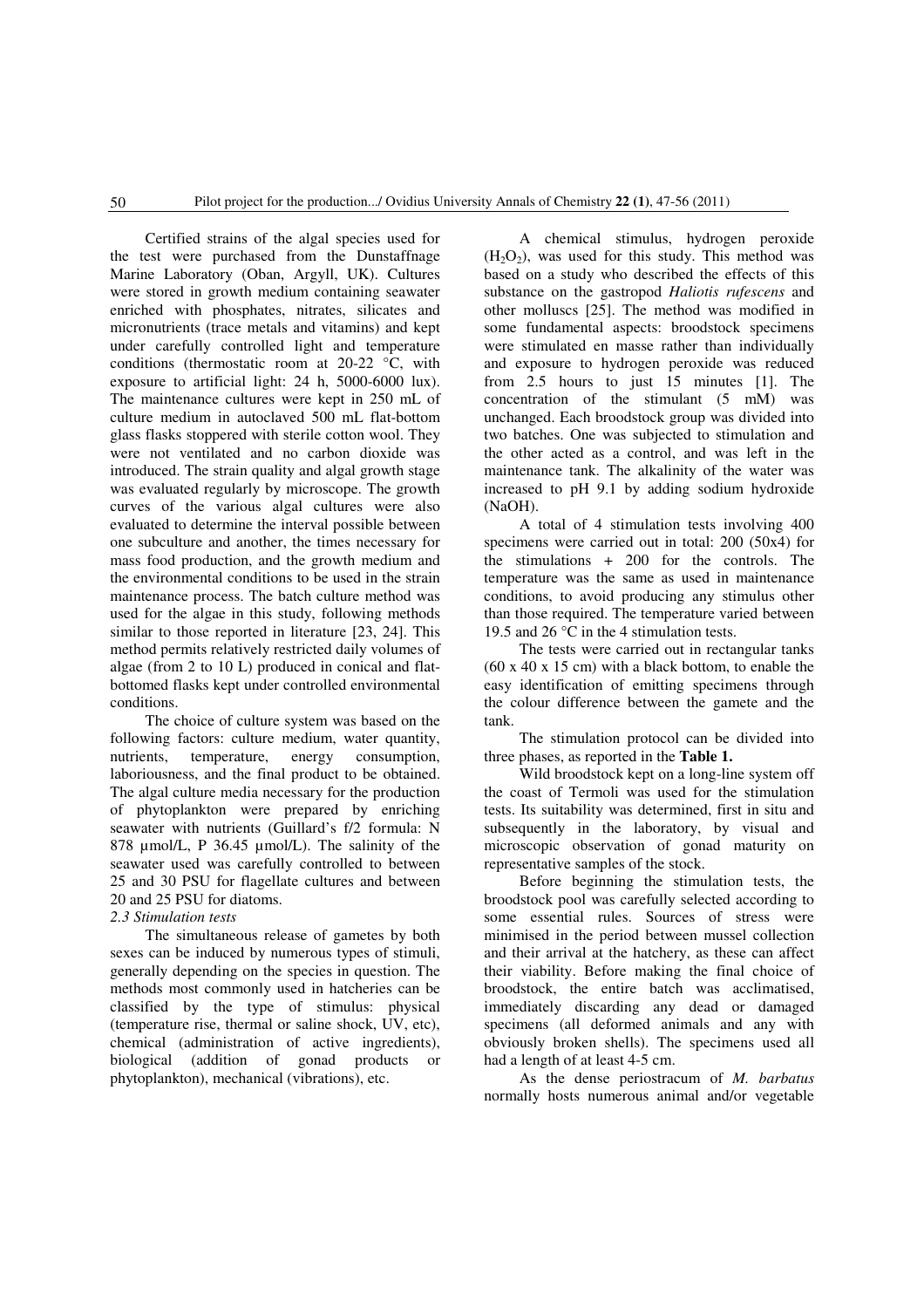Certified strains of the algal species used for the test were purchased from the Dunstaffnage Marine Laboratory (Oban, Argyll, UK). Cultures were stored in growth medium containing seawater enriched with phosphates, nitrates, silicates and micronutrients (trace metals and vitamins) and kept under carefully controlled light and temperature conditions (thermostatic room at 20-22 °C, with exposure to artificial light: 24 h, 5000-6000 lux). The maintenance cultures were kept in 250 mL of culture medium in autoclaved 500 mL flat-bottom glass flasks stoppered with sterile cotton wool. They were not ventilated and no carbon dioxide was introduced. The strain quality and algal growth stage was evaluated regularly by microscope. The growth curves of the various algal cultures were also evaluated to determine the interval possible between one subculture and another, the times necessary for mass food production, and the growth medium and the environmental conditions to be used in the strain maintenance process. The batch culture method was used for the algae in this study, following methods similar to those reported in literature [23, 24]. This method permits relatively restricted daily volumes of algae (from 2 to 10 L) produced in conical and flatbottomed flasks kept under controlled environmental conditions.

The choice of culture system was based on the following factors: culture medium, water quantity, nutrients, temperature, energy consumption, laboriousness, and the final product to be obtained. The algal culture media necessary for the production of phytoplankton were prepared by enriching seawater with nutrients (Guillard's f/2 formula: N 878 µmol/L, P 36.45 µmol/L). The salinity of the seawater used was carefully controlled to between 25 and 30 PSU for flagellate cultures and between 20 and 25 PSU for diatoms.

# *2.3 Stimulation tests*

The simultaneous release of gametes by both sexes can be induced by numerous types of stimuli, generally depending on the species in question. The methods most commonly used in hatcheries can be classified by the type of stimulus: physical (temperature rise, thermal or saline shock, UV, etc), chemical (administration of active ingredients), biological (addition of gonad products or phytoplankton), mechanical (vibrations), etc.

A chemical stimulus, hydrogen peroxide  $(H<sub>2</sub>O<sub>2</sub>)$ , was used for this study. This method was based on a study who described the effects of this substance on the gastropod *Haliotis rufescens* and other molluscs [25]. The method was modified in some fundamental aspects: broodstock specimens were stimulated en masse rather than individually and exposure to hydrogen peroxide was reduced from 2.5 hours to just 15 minutes [1]. The concentration of the stimulant (5 mM) was unchanged. Each broodstock group was divided into two batches. One was subjected to stimulation and the other acted as a control, and was left in the maintenance tank. The alkalinity of the water was increased to pH 9.1 by adding sodium hydroxide (NaOH).

A total of 4 stimulation tests involving 400 specimens were carried out in total: 200 (50x4) for the stimulations + 200 for the controls. The temperature was the same as used in maintenance conditions, to avoid producing any stimulus other than those required. The temperature varied between 19.5 and 26 °C in the 4 stimulation tests.

The tests were carried out in rectangular tanks (60 x 40 x 15 cm) with a black bottom, to enable the easy identification of emitting specimens through the colour difference between the gamete and the tank.

The stimulation protocol can be divided into three phases, as reported in the **Table 1.** 

Wild broodstock kept on a long-line system off the coast of Termoli was used for the stimulation tests. Its suitability was determined, first in situ and subsequently in the laboratory, by visual and microscopic observation of gonad maturity on representative samples of the stock.

Before beginning the stimulation tests, the broodstock pool was carefully selected according to some essential rules. Sources of stress were minimised in the period between mussel collection and their arrival at the hatchery, as these can affect their viability. Before making the final choice of broodstock, the entire batch was acclimatised, immediately discarding any dead or damaged specimens (all deformed animals and any with obviously broken shells). The specimens used all had a length of at least 4-5 cm.

As the dense periostracum of *M. barbatus*  normally hosts numerous animal and/or vegetable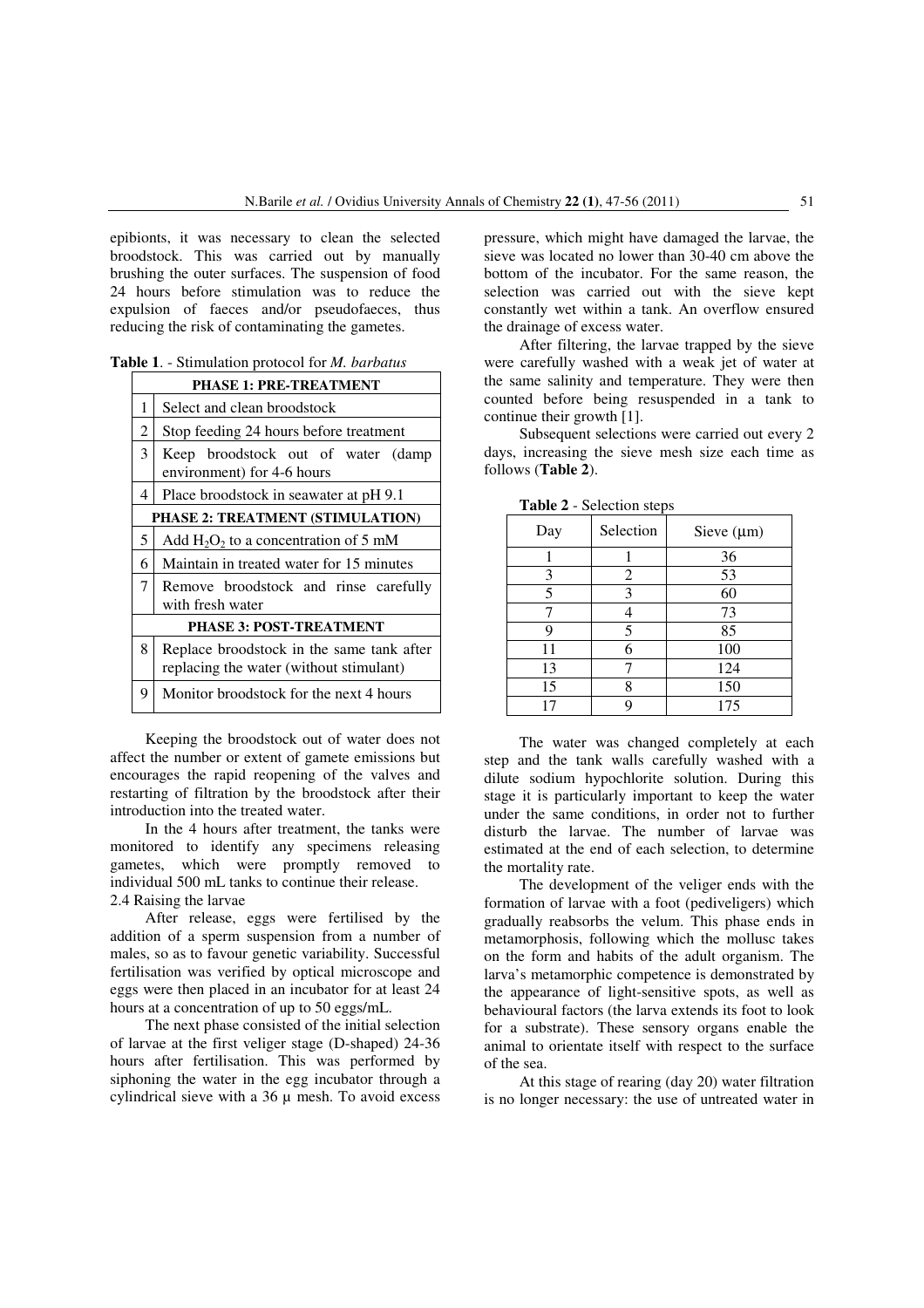epibionts, it was necessary to clean the selected broodstock. This was carried out by manually brushing the outer surfaces. The suspension of food 24 hours before stimulation was to reduce the expulsion of faeces and/or pseudofaeces, thus reducing the risk of contaminating the gametes.

| PHASE 1: PRE-TREATMENT                  |                                                                                      |  |  |  |  |
|-----------------------------------------|--------------------------------------------------------------------------------------|--|--|--|--|
| 1                                       | Select and clean broodstock                                                          |  |  |  |  |
| $\overline{c}$                          | Stop feeding 24 hours before treatment                                               |  |  |  |  |
| 3                                       | Keep broodstock out of water<br>(damp<br>environment) for 4-6 hours                  |  |  |  |  |
| 4                                       | Place broodstock in seawater at pH 9.1                                               |  |  |  |  |
| <b>PHASE 2: TREATMENT (STIMULATION)</b> |                                                                                      |  |  |  |  |
| 5                                       | Add $H_2O_2$ to a concentration of 5 mM                                              |  |  |  |  |
| 6                                       | Maintain in treated water for 15 minutes                                             |  |  |  |  |
| 7                                       | Remove broodstock and rinse carefully<br>with fresh water                            |  |  |  |  |
|                                         | <b>PHASE 3: POST-TREATMENT</b>                                                       |  |  |  |  |
| 8                                       | Replace broodstock in the same tank after<br>replacing the water (without stimulant) |  |  |  |  |
| 9                                       | Monitor broodstock for the next 4 hours                                              |  |  |  |  |

Keeping the broodstock out of water does not affect the number or extent of gamete emissions but encourages the rapid reopening of the valves and restarting of filtration by the broodstock after their introduction into the treated water.

In the 4 hours after treatment, the tanks were monitored to identify any specimens releasing gametes, which were promptly removed to individual 500 mL tanks to continue their release. 2.4 Raising the larvae

After release, eggs were fertilised by the addition of a sperm suspension from a number of males, so as to favour genetic variability. Successful fertilisation was verified by optical microscope and eggs were then placed in an incubator for at least 24 hours at a concentration of up to 50 eggs/mL.

The next phase consisted of the initial selection of larvae at the first veliger stage (D-shaped) 24-36 hours after fertilisation. This was performed by siphoning the water in the egg incubator through a cylindrical sieve with a  $36 \mu$  mesh. To avoid excess

pressure, which might have damaged the larvae, the sieve was located no lower than 30-40 cm above the bottom of the incubator. For the same reason, the selection was carried out with the sieve kept constantly wet within a tank. An overflow ensured the drainage of excess water.

After filtering, the larvae trapped by the sieve were carefully washed with a weak jet of water at the same salinity and temperature. They were then counted before being resuspended in a tank to continue their growth [1].

Subsequent selections were carried out every 2 days, increasing the sieve mesh size each time as follows (**Table 2**).

| Selection<br>Day |   | Sieve $(\mu m)$ |  |
|------------------|---|-----------------|--|
|                  |   | 36              |  |
| 3<br>2           |   | 53              |  |
| 5                | 3 | 60              |  |
|                  |   | 73              |  |
| Q                | 5 | 85              |  |
| 11               | 6 | 100             |  |
| 13               |   | 124             |  |
| 15               | 8 | 150             |  |
|                  | q | 175             |  |

**Table 2** - Selection steps

The water was changed completely at each step and the tank walls carefully washed with a dilute sodium hypochlorite solution. During this stage it is particularly important to keep the water under the same conditions, in order not to further disturb the larvae. The number of larvae was estimated at the end of each selection, to determine the mortality rate.

The development of the veliger ends with the formation of larvae with a foot (pediveligers) which gradually reabsorbs the velum. This phase ends in metamorphosis, following which the mollusc takes on the form and habits of the adult organism. The larva's metamorphic competence is demonstrated by the appearance of light-sensitive spots, as well as behavioural factors (the larva extends its foot to look for a substrate). These sensory organs enable the animal to orientate itself with respect to the surface of the sea.

At this stage of rearing (day 20) water filtration is no longer necessary: the use of untreated water in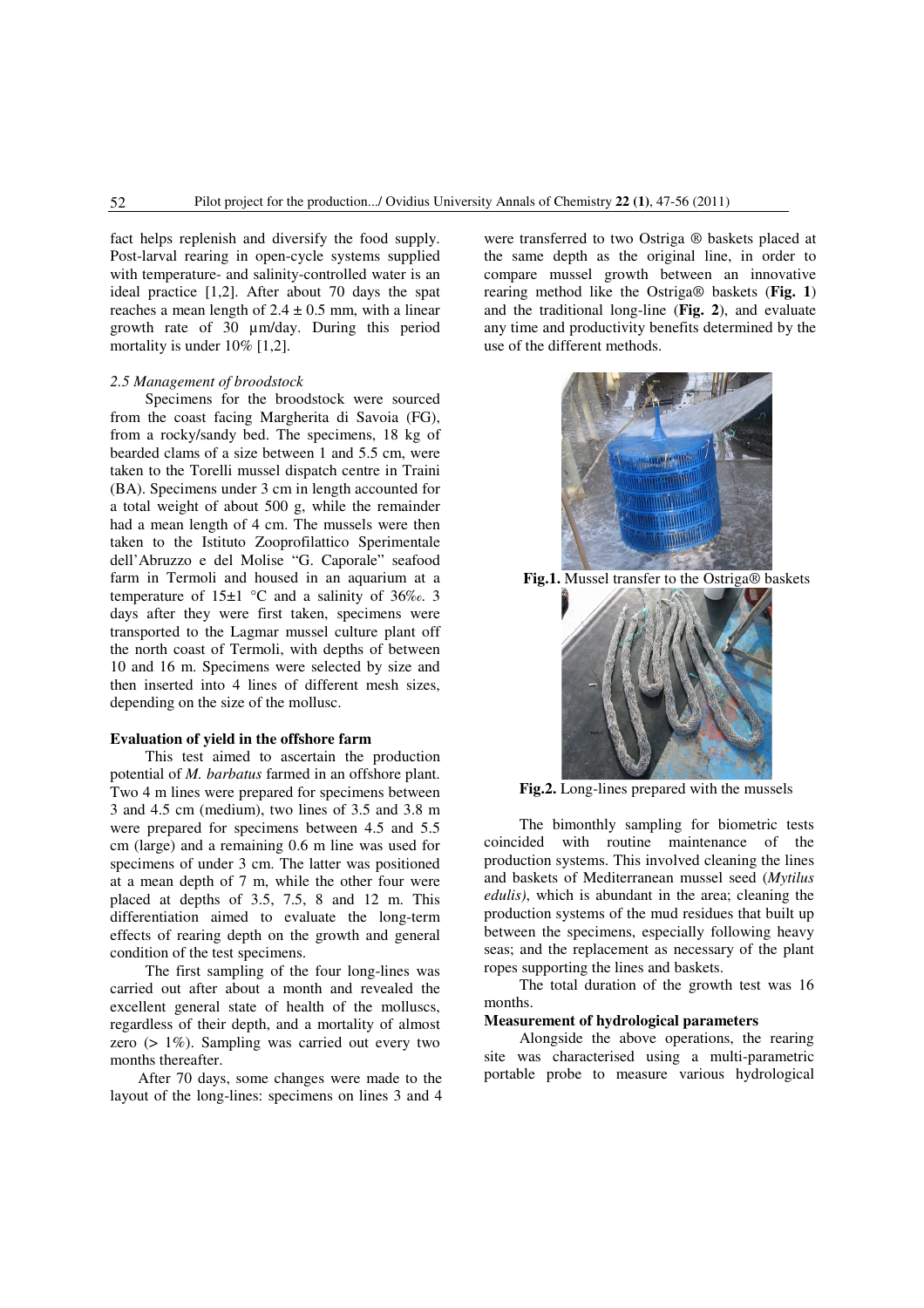fact helps replenish and diversify the food supply. Post-larval rearing in open-cycle systems supplied with temperature- and salinity-controlled water is an ideal practice [1,2]. After about 70 days the spat reaches a mean length of  $2.4 \pm 0.5$  mm, with a linear growth rate of 30 µm/day. During this period mortality is under 10% [1,2].

#### *2.5 Management of broodstock*

Specimens for the broodstock were sourced from the coast facing Margherita di Savoia (FG), from a rocky/sandy bed. The specimens, 18 kg of bearded clams of a size between 1 and 5.5 cm, were taken to the Torelli mussel dispatch centre in Traini (BA). Specimens under 3 cm in length accounted for a total weight of about 500 g, while the remainder had a mean length of 4 cm. The mussels were then taken to the Istituto Zooprofilattico Sperimentale dell'Abruzzo e del Molise "G. Caporale" seafood farm in Termoli and housed in an aquarium at a temperature of  $15\pm1$  °C and a salinity of 36‰. 3 days after they were first taken, specimens were transported to the Lagmar mussel culture plant off the north coast of Termoli, with depths of between 10 and 16 m. Specimens were selected by size and then inserted into 4 lines of different mesh sizes, depending on the size of the mollusc.

## **Evaluation of yield in the offshore farm**

This test aimed to ascertain the production potential of *M. barbatus* farmed in an offshore plant. Two 4 m lines were prepared for specimens between 3 and 4.5 cm (medium), two lines of 3.5 and 3.8 m were prepared for specimens between 4.5 and 5.5 cm (large) and a remaining 0.6 m line was used for specimens of under 3 cm. The latter was positioned at a mean depth of 7 m, while the other four were placed at depths of 3.5, 7.5, 8 and 12 m. This differentiation aimed to evaluate the long-term effects of rearing depth on the growth and general condition of the test specimens.

The first sampling of the four long-lines was carried out after about a month and revealed the excellent general state of health of the molluscs, regardless of their depth, and a mortality of almost zero (> 1%). Sampling was carried out every two months thereafter.

After 70 days, some changes were made to the layout of the long-lines: specimens on lines 3 and 4

were transferred to two Ostriga ® baskets placed at the same depth as the original line, in order to compare mussel growth between an innovative rearing method like the Ostriga® baskets (**Fig. 1**) and the traditional long-line (**Fig. 2**), and evaluate any time and productivity benefits determined by the use of the different methods.



**Fig.1.** Mussel transfer to the Ostriga® baskets



**Fig.2.** Long-lines prepared with the mussels

The bimonthly sampling for biometric tests coincided with routine maintenance of the production systems. This involved cleaning the lines and baskets of Mediterranean mussel seed (*Mytilus edulis)*, which is abundant in the area; cleaning the production systems of the mud residues that built up between the specimens, especially following heavy seas; and the replacement as necessary of the plant ropes supporting the lines and baskets.

The total duration of the growth test was 16 months.

## **Measurement of hydrological parameters**

Alongside the above operations, the rearing site was characterised using a multi-parametric portable probe to measure various hydrological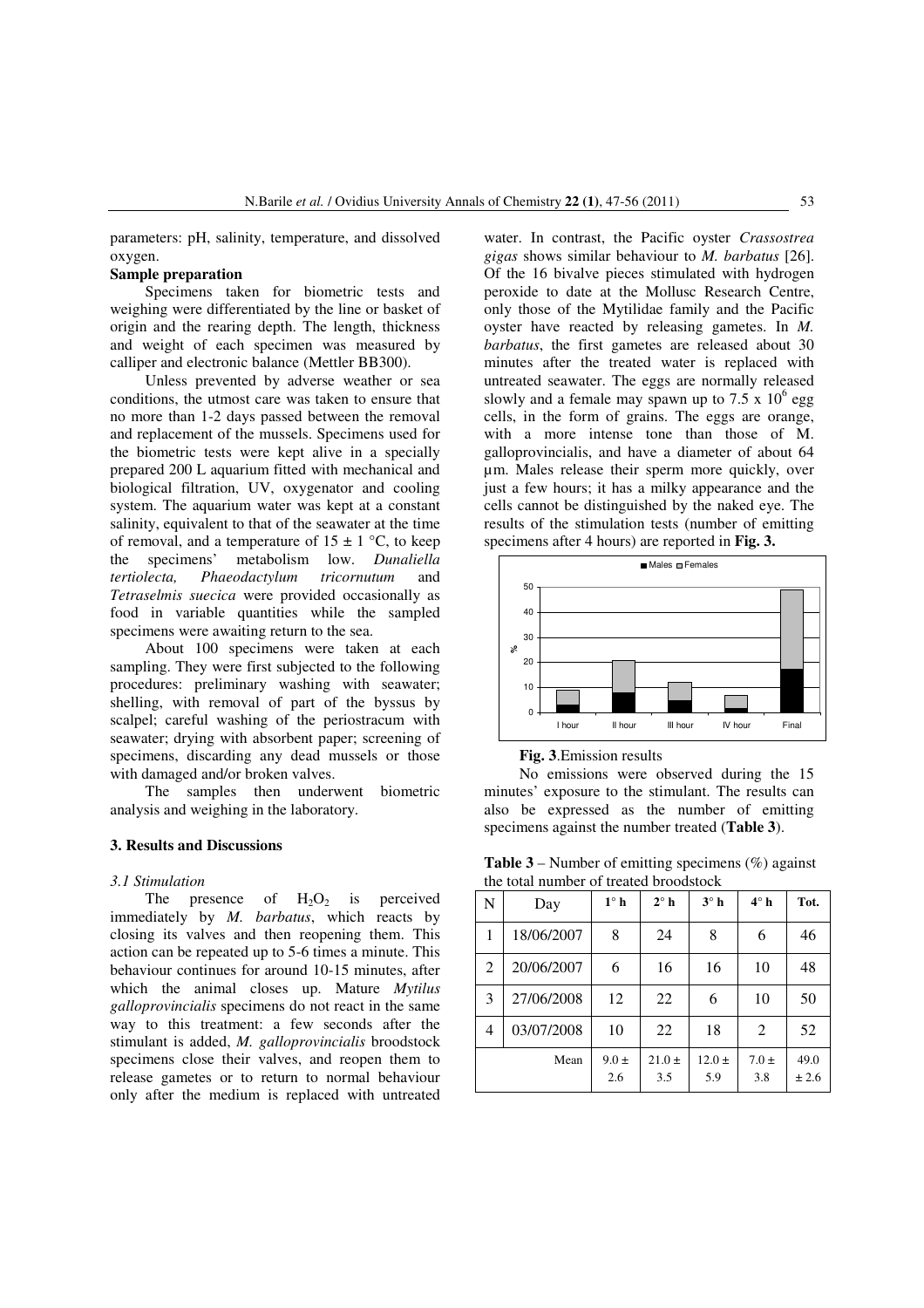parameters: pH, salinity, temperature, and dissolved oxygen.

# **Sample preparation**

Specimens taken for biometric tests and weighing were differentiated by the line or basket of origin and the rearing depth. The length, thickness and weight of each specimen was measured by calliper and electronic balance (Mettler BB300).

Unless prevented by adverse weather or sea conditions, the utmost care was taken to ensure that no more than 1-2 days passed between the removal and replacement of the mussels. Specimens used for the biometric tests were kept alive in a specially prepared 200 L aquarium fitted with mechanical and biological filtration, UV, oxygenator and cooling system. The aquarium water was kept at a constant salinity, equivalent to that of the seawater at the time of removal, and a temperature of  $15 \pm 1$  °C, to keep the specimens' metabolism low. *Dunaliella tertiolecta, Phaeodactylum tricornutum* and *Tetraselmis suecica* were provided occasionally as food in variable quantities while the sampled specimens were awaiting return to the sea.

About 100 specimens were taken at each sampling. They were first subjected to the following procedures: preliminary washing with seawater; shelling, with removal of part of the byssus by scalpel; careful washing of the periostracum with seawater; drying with absorbent paper; screening of specimens, discarding any dead mussels or those with damaged and/or broken valves.

The samples then underwent biometric analysis and weighing in the laboratory.

#### **3. Results and Discussions**

#### *3.1 Stimulation*

The presence of  $H_2O_2$  is perceived immediately by *M. barbatus*, which reacts by closing its valves and then reopening them. This action can be repeated up to 5-6 times a minute. This behaviour continues for around 10-15 minutes, after which the animal closes up. Mature *Mytilus galloprovincialis* specimens do not react in the same way to this treatment: a few seconds after the stimulant is added, *M. galloprovincialis* broodstock specimens close their valves, and reopen them to release gametes or to return to normal behaviour only after the medium is replaced with untreated water. In contrast, the Pacific oyster *Crassostrea gigas* shows similar behaviour to *M. barbatus* [26]. Of the 16 bivalve pieces stimulated with hydrogen peroxide to date at the Mollusc Research Centre, only those of the Mytilidae family and the Pacific oyster have reacted by releasing gametes. In *M. barbatus*, the first gametes are released about 30 minutes after the treated water is replaced with untreated seawater. The eggs are normally released slowly and a female may spawn up to  $7.5 \times 10^6$  egg cells, in the form of grains. The eggs are orange, with a more intense tone than those of M. galloprovincialis, and have a diameter of about 64 µm. Males release their sperm more quickly, over just a few hours; it has a milky appearance and the cells cannot be distinguished by the naked eye. The results of the stimulation tests (number of emitting specimens after 4 hours) are reported in **Fig. 3.**



**Fig. 3**.Emission results

No emissions were observed during the 15 minutes' exposure to the stimulant. The results can also be expressed as the number of emitting specimens against the number treated (**Table 3**).

**Table 3** – Number of emitting specimens  $(\%)$  against the total number of treated broodstock

| N | Day        | $1^\circ$ h      | $2^\circ$ h       | $3^\circ$ h       | $4^\circ$ h      | Tot.          |
|---|------------|------------------|-------------------|-------------------|------------------|---------------|
| 1 | 18/06/2007 | 8                | 24                | 8                 | 6                | 46            |
| 2 | 20/06/2007 | 6                | 16                | 16                | 10               | 48            |
| 3 | 27/06/2008 | 12               | 22                | 6                 | 10               | 50            |
| 4 | 03/07/2008 | 10               | 22                | 18                | 2                | 52            |
|   | Mean       | $9.0 \pm$<br>2.6 | $21.0 \pm$<br>3.5 | $12.0 \pm$<br>5.9 | $7.0 \pm$<br>3.8 | 49.0<br>± 2.6 |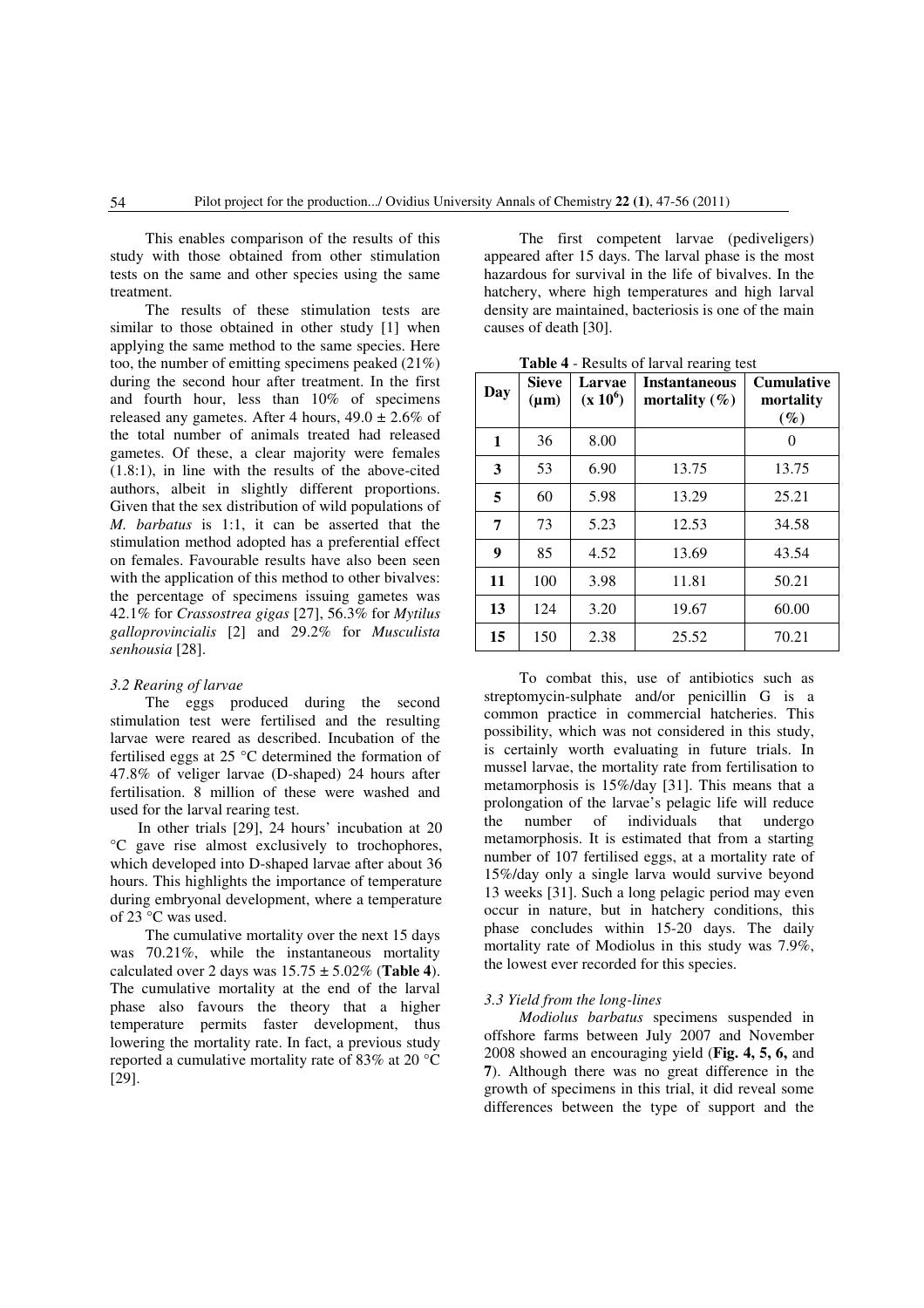This enables comparison of the results of this study with those obtained from other stimulation tests on the same and other species using the same treatment.

The results of these stimulation tests are similar to those obtained in other study [1] when applying the same method to the same species. Here too, the number of emitting specimens peaked (21%) during the second hour after treatment. In the first and fourth hour, less than 10% of specimens released any gametes. After 4 hours,  $49.0 \pm 2.6\%$  of the total number of animals treated had released gametes. Of these, a clear majority were females (1.8:1), in line with the results of the above-cited authors, albeit in slightly different proportions. Given that the sex distribution of wild populations of *M. barbatus* is 1:1, it can be asserted that the stimulation method adopted has a preferential effect on females. Favourable results have also been seen with the application of this method to other bivalves: the percentage of specimens issuing gametes was 42.1% for *Crassostrea gigas* [27], 56.3% for *Mytilus galloprovincialis* [2] and 29.2% for *Musculista senhousia* [28].

## *3.2 Rearing of larvae*

The eggs produced during the second stimulation test were fertilised and the resulting larvae were reared as described. Incubation of the fertilised eggs at 25 °C determined the formation of 47.8% of veliger larvae (D-shaped) 24 hours after fertilisation. 8 million of these were washed and used for the larval rearing test.

In other trials [29], 24 hours' incubation at 20 °C gave rise almost exclusively to trochophores, which developed into D-shaped larvae after about 36 hours. This highlights the importance of temperature during embryonal development, where a temperature of 23 °C was used.

The cumulative mortality over the next 15 days was 70.21%, while the instantaneous mortality calculated over 2 days was  $15.75 \pm 5.02\%$  (Table 4). The cumulative mortality at the end of the larval phase also favours the theory that a higher temperature permits faster development, thus lowering the mortality rate. In fact, a previous study reported a cumulative mortality rate of 83% at 20 °C [29].

The first competent larvae (pediveligers) appeared after 15 days. The larval phase is the most hazardous for survival in the life of bivalves. In the hatchery, where high temperatures and high larval density are maintained, bacteriosis is one of the main causes of death [30].

| Day | Sieve<br>$(\mu m)$ | Larvae<br>$(x 10^6)$ | <b>Instantaneous</b><br>mortality $(\%)$ | <b>Cumulative</b><br>mortality<br>$(\%)$ |
|-----|--------------------|----------------------|------------------------------------------|------------------------------------------|
| 1   | 36                 | 8.00                 |                                          | 0                                        |
| 3   | 53                 | 6.90                 | 13.75                                    | 13.75                                    |
| 5   | 60                 | 5.98                 | 13.29                                    | 25.21                                    |
| 7   | 73                 | 5.23                 | 12.53                                    | 34.58                                    |
| 9   | 85                 | 4.52                 | 13.69                                    | 43.54                                    |
| 11  | 100                | 3.98                 | 11.81                                    | 50.21                                    |
| 13  | 124                | 3.20                 | 19.67                                    | 60.00                                    |
| 15  | 150                | 2.38                 | 25.52                                    | 70.21                                    |

**Table 4** - Results of larval rearing test

To combat this, use of antibiotics such as streptomycin-sulphate and/or penicillin G is a common practice in commercial hatcheries. This possibility, which was not considered in this study, is certainly worth evaluating in future trials. In mussel larvae, the mortality rate from fertilisation to metamorphosis is 15%/day [31]. This means that a prolongation of the larvae's pelagic life will reduce the number of individuals that undergo metamorphosis. It is estimated that from a starting number of 107 fertilised eggs, at a mortality rate of 15%/day only a single larva would survive beyond 13 weeks [31]. Such a long pelagic period may even occur in nature, but in hatchery conditions, this phase concludes within 15-20 days. The daily mortality rate of Modiolus in this study was 7.9%, the lowest ever recorded for this species.

#### *3.3 Yield from the long-lines*

*Modiolus barbatus* specimens suspended in offshore farms between July 2007 and November 2008 showed an encouraging yield (**Fig. 4, 5, 6,** and **7**). Although there was no great difference in the growth of specimens in this trial, it did reveal some differences between the type of support and the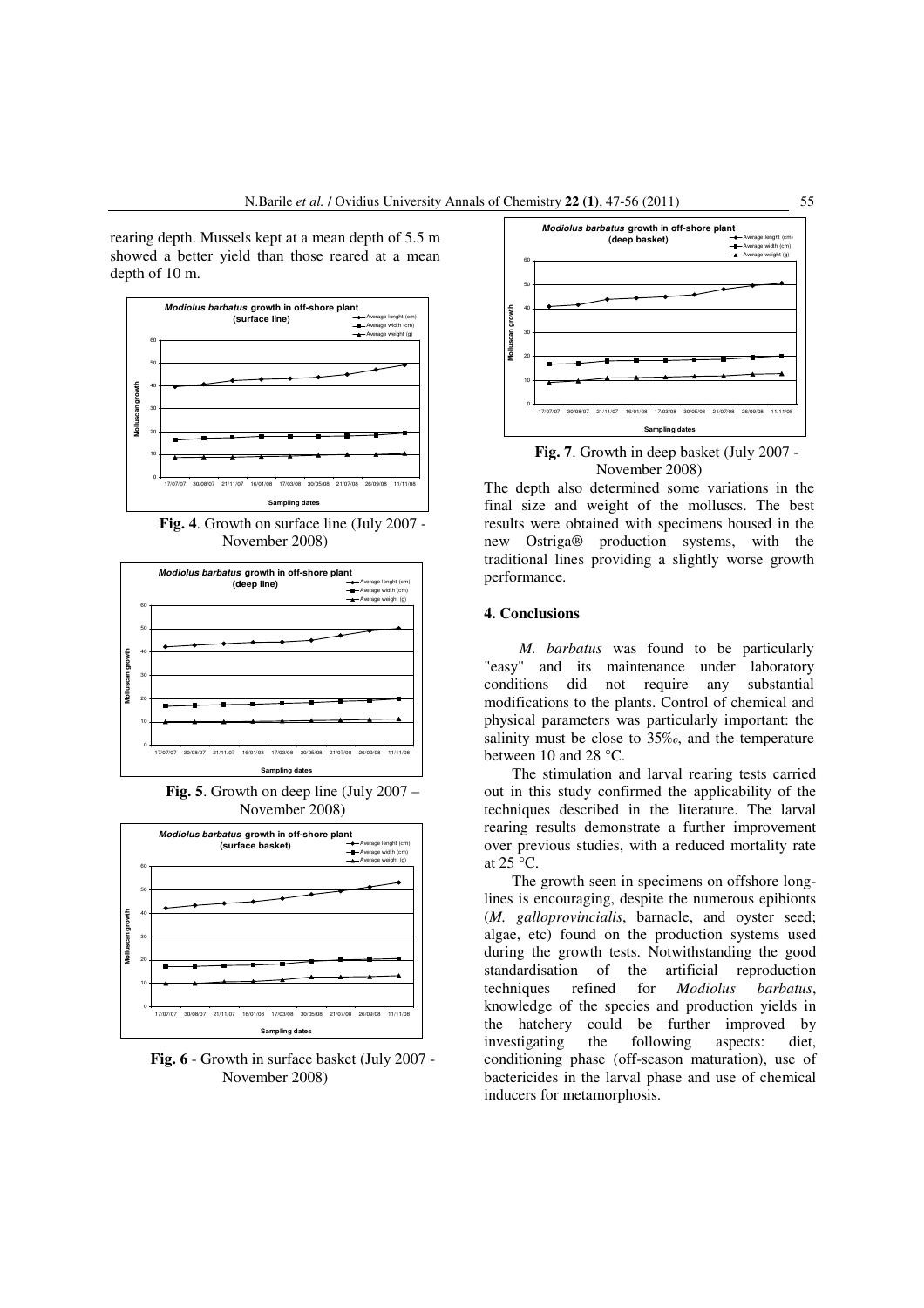rearing depth. Mussels kept at a mean depth of 5.5 m showed a better yield than those reared at a mean depth of 10 m.



**Fig. 4**. Growth on surface line (July 2007 - November 2008)



**Fig. 5**. Growth on deep line (July 2007 – November 2008)



**Fig. 6** - Growth in surface basket (July 2007 - November 2008)



**Fig. 7**. Growth in deep basket (July 2007 - November 2008)

The depth also determined some variations in the final size and weight of the molluscs. The best results were obtained with specimens housed in the new Ostriga® production systems, with the traditional lines providing a slightly worse growth performance.

#### **4. Conclusions**

*M. barbatus* was found to be particularly "easy" and its maintenance under laboratory conditions did not require any substantial modifications to the plants. Control of chemical and physical parameters was particularly important: the salinity must be close to 35‰, and the temperature between 10 and 28 °C.

The stimulation and larval rearing tests carried out in this study confirmed the applicability of the techniques described in the literature. The larval rearing results demonstrate a further improvement over previous studies, with a reduced mortality rate at  $25^{\circ}$ C.

The growth seen in specimens on offshore longlines is encouraging, despite the numerous epibionts (*M. galloprovincialis*, barnacle, and oyster seed; algae, etc) found on the production systems used during the growth tests. Notwithstanding the good standardisation of the artificial reproduction techniques refined for *Modiolus barbatus*, knowledge of the species and production yields in the hatchery could be further improved by investigating the following aspects: diet, conditioning phase (off-season maturation), use of bactericides in the larval phase and use of chemical inducers for metamorphosis.